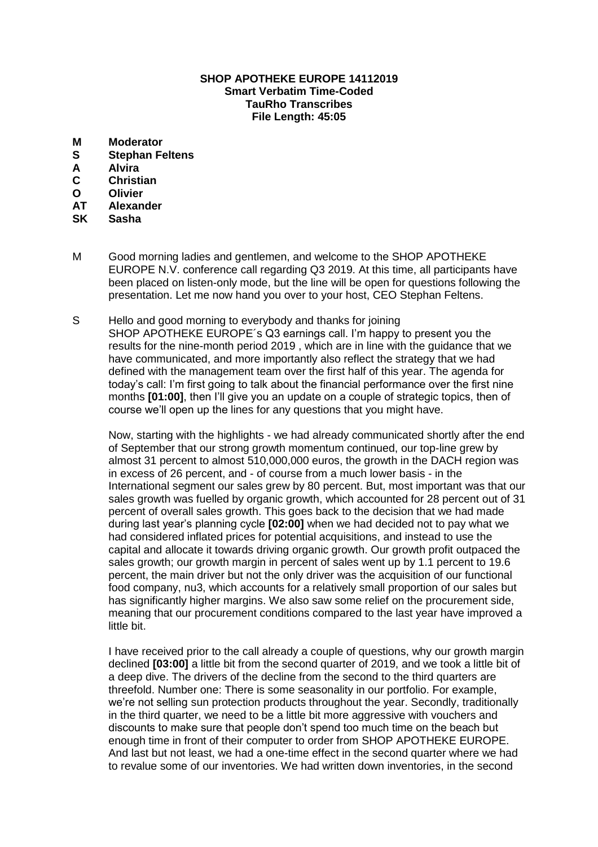## **SHOP APOTHEKE EUROPE 14112019 Smart Verbatim Time-Coded TauRho Transcribes File Length: 45:05**

- **M Moderator**
- **S Stephan Feltens**
- **A Alvira**
- **C Christian**
- **O Olivier**
- **AT Alexander**
- **SK Sasha**
- M Good morning ladies and gentlemen, and welcome to the SHOP APOTHEKE EUROPE N.V. conference call regarding Q3 2019. At this time, all participants have been placed on listen-only mode, but the line will be open for questions following the presentation. Let me now hand you over to your host, CEO Stephan Feltens.
- S Hello and good morning to everybody and thanks for joining SHOP APOTHEKE EUROPE´s Q3 earnings call. I'm happy to present you the results for the nine-month period 2019 , which are in line with the guidance that we have communicated, and more importantly also reflect the strategy that we had defined with the management team over the first half of this year. The agenda for today's call: I'm first going to talk about the financial performance over the first nine months **[01:00]**, then I'll give you an update on a couple of strategic topics, then of course we'll open up the lines for any questions that you might have.

Now, starting with the highlights - we had already communicated shortly after the end of September that our strong growth momentum continued, our top-line grew by almost 31 percent to almost 510,000,000 euros, the growth in the DACH region was in excess of 26 percent, and - of course from a much lower basis - in the International segment our sales grew by 80 percent. But, most important was that our sales growth was fuelled by organic growth, which accounted for 28 percent out of 31 percent of overall sales growth. This goes back to the decision that we had made during last year's planning cycle **[02:00]** when we had decided not to pay what we had considered inflated prices for potential acquisitions, and instead to use the capital and allocate it towards driving organic growth. Our growth profit outpaced the sales growth; our growth margin in percent of sales went up by 1.1 percent to 19.6 percent, the main driver but not the only driver was the acquisition of our functional food company, nu3, which accounts for a relatively small proportion of our sales but has significantly higher margins. We also saw some relief on the procurement side, meaning that our procurement conditions compared to the last year have improved a little bit.

I have received prior to the call already a couple of questions, why our growth margin declined **[03:00]** a little bit from the second quarter of 2019, and we took a little bit of a deep dive. The drivers of the decline from the second to the third quarters are threefold. Number one: There is some seasonality in our portfolio. For example, we're not selling sun protection products throughout the year. Secondly, traditionally in the third quarter, we need to be a little bit more aggressive with vouchers and discounts to make sure that people don't spend too much time on the beach but enough time in front of their computer to order from SHOP APOTHEKE EUROPE. And last but not least, we had a one-time effect in the second quarter where we had to revalue some of our inventories. We had written down inventories, in the second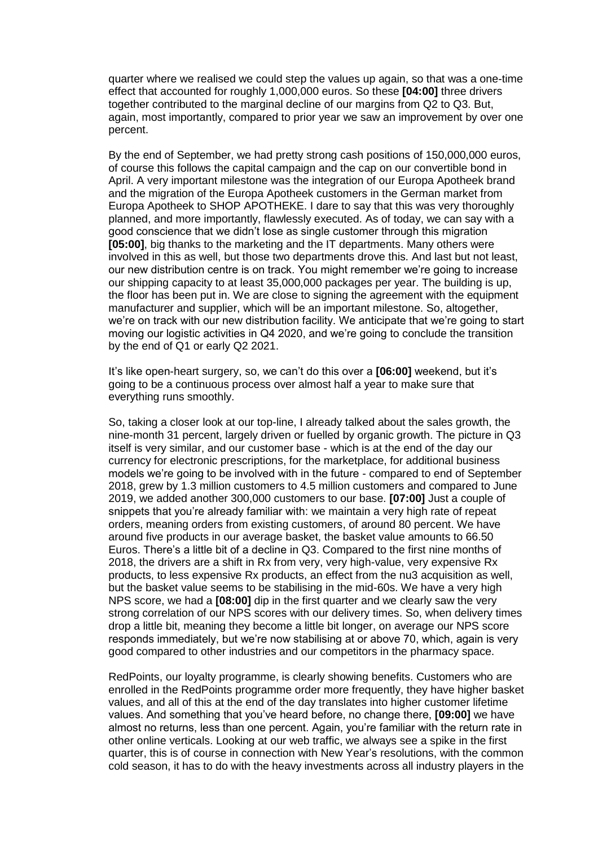quarter where we realised we could step the values up again, so that was a one-time effect that accounted for roughly 1,000,000 euros. So these **[04:00]** three drivers together contributed to the marginal decline of our margins from Q2 to Q3. But, again, most importantly, compared to prior year we saw an improvement by over one percent.

By the end of September, we had pretty strong cash positions of 150,000,000 euros, of course this follows the capital campaign and the cap on our convertible bond in April. A very important milestone was the integration of our Europa Apotheek brand and the migration of the Europa Apotheek customers in the German market from Europa Apotheek to SHOP APOTHEKE. I dare to say that this was very thoroughly planned, and more importantly, flawlessly executed. As of today, we can say with a good conscience that we didn't lose as single customer through this migration **[05:00]**, big thanks to the marketing and the IT departments. Many others were involved in this as well, but those two departments drove this. And last but not least, our new distribution centre is on track. You might remember we're going to increase our shipping capacity to at least 35,000,000 packages per year. The building is up, the floor has been put in. We are close to signing the agreement with the equipment manufacturer and supplier, which will be an important milestone. So, altogether, we're on track with our new distribution facility. We anticipate that we're going to start moving our logistic activities in Q4 2020, and we're going to conclude the transition by the end of Q1 or early Q2 2021.

It's like open-heart surgery, so, we can't do this over a **[06:00]** weekend, but it's going to be a continuous process over almost half a year to make sure that everything runs smoothly.

So, taking a closer look at our top-line, I already talked about the sales growth, the nine-month 31 percent, largely driven or fuelled by organic growth. The picture in Q3 itself is very similar, and our customer base - which is at the end of the day our currency for electronic prescriptions, for the marketplace, for additional business models we're going to be involved with in the future - compared to end of September 2018, grew by 1.3 million customers to 4.5 million customers and compared to June 2019, we added another 300,000 customers to our base. **[07:00]** Just a couple of snippets that you're already familiar with: we maintain a very high rate of repeat orders, meaning orders from existing customers, of around 80 percent. We have around five products in our average basket, the basket value amounts to 66.50 Euros. There's a little bit of a decline in Q3. Compared to the first nine months of 2018, the drivers are a shift in Rx from very, very high-value, very expensive Rx products, to less expensive Rx products, an effect from the nu3 acquisition as well, but the basket value seems to be stabilising in the mid-60s. We have a very high NPS score, we had a **[08:00]** dip in the first quarter and we clearly saw the very strong correlation of our NPS scores with our delivery times. So, when delivery times drop a little bit, meaning they become a little bit longer, on average our NPS score responds immediately, but we're now stabilising at or above 70, which, again is very good compared to other industries and our competitors in the pharmacy space.

RedPoints, our loyalty programme, is clearly showing benefits. Customers who are enrolled in the RedPoints programme order more frequently, they have higher basket values, and all of this at the end of the day translates into higher customer lifetime values. And something that you've heard before, no change there, **[09:00]** we have almost no returns, less than one percent. Again, you're familiar with the return rate in other online verticals. Looking at our web traffic, we always see a spike in the first quarter, this is of course in connection with New Year's resolutions, with the common cold season, it has to do with the heavy investments across all industry players in the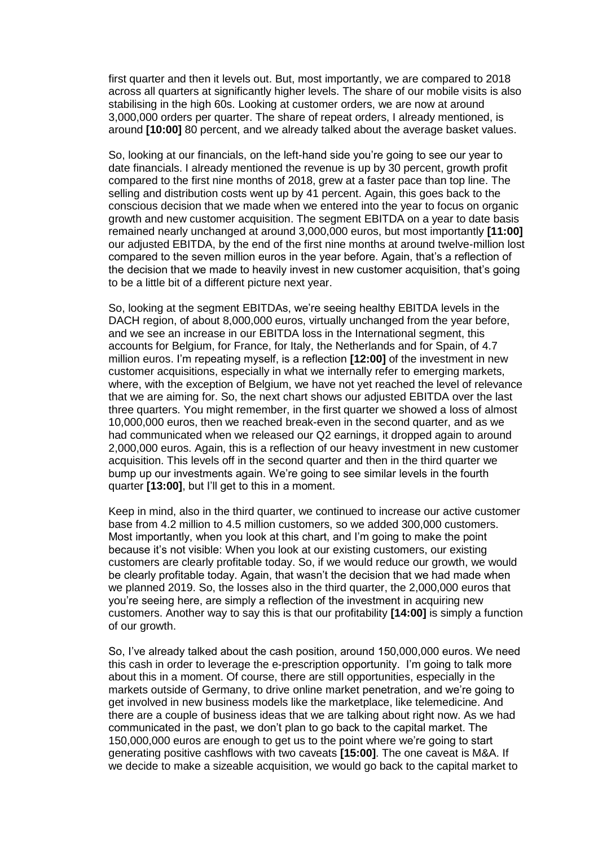first quarter and then it levels out. But, most importantly, we are compared to 2018 across all quarters at significantly higher levels. The share of our mobile visits is also stabilising in the high 60s. Looking at customer orders, we are now at around 3,000,000 orders per quarter. The share of repeat orders, I already mentioned, is around **[10:00]** 80 percent, and we already talked about the average basket values.

So, looking at our financials, on the left-hand side you're going to see our year to date financials. I already mentioned the revenue is up by 30 percent, growth profit compared to the first nine months of 2018, grew at a faster pace than top line. The selling and distribution costs went up by 41 percent. Again, this goes back to the conscious decision that we made when we entered into the year to focus on organic growth and new customer acquisition. The segment EBITDA on a year to date basis remained nearly unchanged at around 3,000,000 euros, but most importantly **[11:00]** our adjusted EBITDA, by the end of the first nine months at around twelve-million lost compared to the seven million euros in the year before. Again, that's a reflection of the decision that we made to heavily invest in new customer acquisition, that's going to be a little bit of a different picture next year.

So, looking at the segment EBITDAs, we're seeing healthy EBITDA levels in the DACH region, of about 8,000,000 euros, virtually unchanged from the year before, and we see an increase in our EBITDA loss in the International segment, this accounts for Belgium, for France, for Italy, the Netherlands and for Spain, of 4.7 million euros. I'm repeating myself, is a reflection **[12:00]** of the investment in new customer acquisitions, especially in what we internally refer to emerging markets, where, with the exception of Belgium, we have not yet reached the level of relevance that we are aiming for. So, the next chart shows our adjusted EBITDA over the last three quarters. You might remember, in the first quarter we showed a loss of almost 10,000,000 euros, then we reached break-even in the second quarter, and as we had communicated when we released our Q2 earnings, it dropped again to around 2,000,000 euros. Again, this is a reflection of our heavy investment in new customer acquisition. This levels off in the second quarter and then in the third quarter we bump up our investments again. We're going to see similar levels in the fourth quarter **[13:00]**, but I'll get to this in a moment.

Keep in mind, also in the third quarter, we continued to increase our active customer base from 4.2 million to 4.5 million customers, so we added 300,000 customers. Most importantly, when you look at this chart, and I'm going to make the point because it's not visible: When you look at our existing customers, our existing customers are clearly profitable today. So, if we would reduce our growth, we would be clearly profitable today. Again, that wasn't the decision that we had made when we planned 2019. So, the losses also in the third quarter, the 2,000,000 euros that you're seeing here, are simply a reflection of the investment in acquiring new customers. Another way to say this is that our profitability **[14:00]** is simply a function of our growth.

So, I've already talked about the cash position, around 150,000,000 euros. We need this cash in order to leverage the e-prescription opportunity. I'm going to talk more about this in a moment. Of course, there are still opportunities, especially in the markets outside of Germany, to drive online market penetration, and we're going to get involved in new business models like the marketplace, like telemedicine. And there are a couple of business ideas that we are talking about right now. As we had communicated in the past, we don't plan to go back to the capital market. The 150,000,000 euros are enough to get us to the point where we're going to start generating positive cashflows with two caveats **[15:00]**. The one caveat is M&A. If we decide to make a sizeable acquisition, we would go back to the capital market to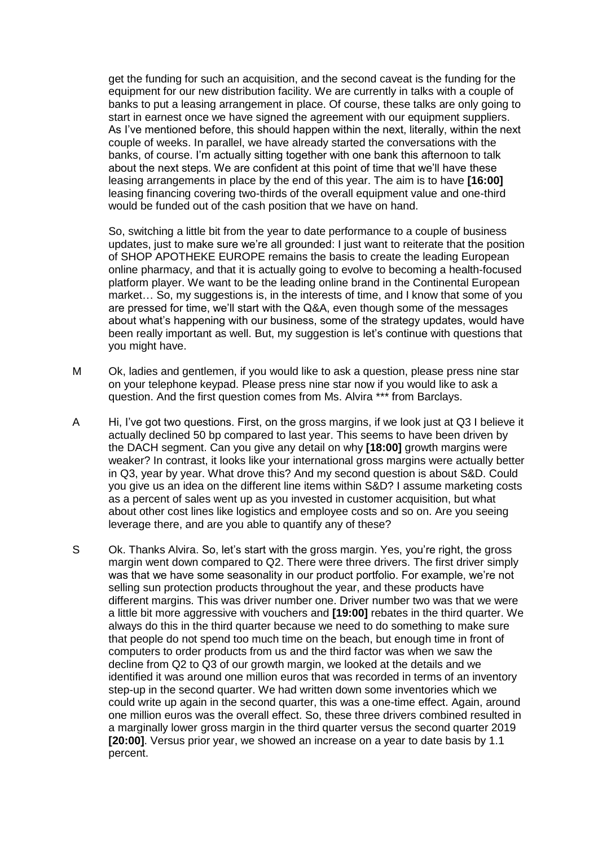get the funding for such an acquisition, and the second caveat is the funding for the equipment for our new distribution facility. We are currently in talks with a couple of banks to put a leasing arrangement in place. Of course, these talks are only going to start in earnest once we have signed the agreement with our equipment suppliers. As I've mentioned before, this should happen within the next, literally, within the next couple of weeks. In parallel, we have already started the conversations with the banks, of course. I'm actually sitting together with one bank this afternoon to talk about the next steps. We are confident at this point of time that we'll have these leasing arrangements in place by the end of this year. The aim is to have **[16:00]** leasing financing covering two-thirds of the overall equipment value and one-third would be funded out of the cash position that we have on hand.

So, switching a little bit from the year to date performance to a couple of business updates, just to make sure we're all grounded: I just want to reiterate that the position of SHOP APOTHEKE EUROPE remains the basis to create the leading European online pharmacy, and that it is actually going to evolve to becoming a health-focused platform player. We want to be the leading online brand in the Continental European market… So, my suggestions is, in the interests of time, and I know that some of you are pressed for time, we'll start with the Q&A, even though some of the messages about what's happening with our business, some of the strategy updates, would have been really important as well. But, my suggestion is let's continue with questions that you might have.

- M Ok, ladies and gentlemen, if you would like to ask a question, please press nine star on your telephone keypad. Please press nine star now if you would like to ask a question. And the first question comes from Ms. Alvira \*\*\* from Barclays.
- A Hi, I've got two questions. First, on the gross margins, if we look just at Q3 I believe it actually declined 50 bp compared to last year. This seems to have been driven by the DACH segment. Can you give any detail on why **[18:00]** growth margins were weaker? In contrast, it looks like your international gross margins were actually better in Q3, year by year. What drove this? And my second question is about S&D. Could you give us an idea on the different line items within S&D? I assume marketing costs as a percent of sales went up as you invested in customer acquisition, but what about other cost lines like logistics and employee costs and so on. Are you seeing leverage there, and are you able to quantify any of these?
- S Ok. Thanks Alvira. So, let's start with the gross margin. Yes, you're right, the gross margin went down compared to Q2. There were three drivers. The first driver simply was that we have some seasonality in our product portfolio. For example, we're not selling sun protection products throughout the year, and these products have different margins. This was driver number one. Driver number two was that we were a little bit more aggressive with vouchers and **[19:00]** rebates in the third quarter. We always do this in the third quarter because we need to do something to make sure that people do not spend too much time on the beach, but enough time in front of computers to order products from us and the third factor was when we saw the decline from Q2 to Q3 of our growth margin, we looked at the details and we identified it was around one million euros that was recorded in terms of an inventory step-up in the second quarter. We had written down some inventories which we could write up again in the second quarter, this was a one-time effect. Again, around one million euros was the overall effect. So, these three drivers combined resulted in a marginally lower gross margin in the third quarter versus the second quarter 2019 **[20:00]**. Versus prior year, we showed an increase on a year to date basis by 1.1 percent.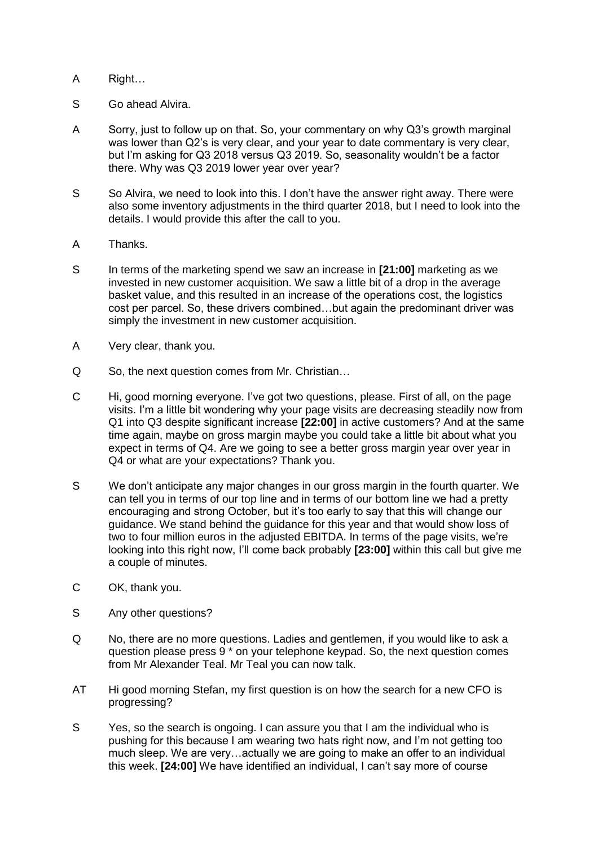- A Right…
- S Go ahead Alvira.
- A Sorry, just to follow up on that. So, your commentary on why Q3's growth marginal was lower than Q2's is very clear, and your year to date commentary is very clear, but I'm asking for Q3 2018 versus Q3 2019. So, seasonality wouldn't be a factor there. Why was Q3 2019 lower year over year?
- S So Alvira, we need to look into this. I don't have the answer right away. There were also some inventory adjustments in the third quarter 2018, but I need to look into the details. I would provide this after the call to you.
- A Thanks.
- S In terms of the marketing spend we saw an increase in **[21:00]** marketing as we invested in new customer acquisition. We saw a little bit of a drop in the average basket value, and this resulted in an increase of the operations cost, the logistics cost per parcel. So, these drivers combined…but again the predominant driver was simply the investment in new customer acquisition.
- A Very clear, thank you.
- Q So, the next question comes from Mr. Christian…
- C Hi, good morning everyone. I've got two questions, please. First of all, on the page visits. I'm a little bit wondering why your page visits are decreasing steadily now from Q1 into Q3 despite significant increase **[22:00]** in active customers? And at the same time again, maybe on gross margin maybe you could take a little bit about what you expect in terms of Q4. Are we going to see a better gross margin year over year in Q4 or what are your expectations? Thank you.
- S We don't anticipate any major changes in our gross margin in the fourth quarter. We can tell you in terms of our top line and in terms of our bottom line we had a pretty encouraging and strong October, but it's too early to say that this will change our guidance. We stand behind the guidance for this year and that would show loss of two to four million euros in the adjusted EBITDA. In terms of the page visits, we're looking into this right now, I'll come back probably **[23:00]** within this call but give me a couple of minutes.
- C OK, thank you.
- S Any other questions?
- Q No, there are no more questions. Ladies and gentlemen, if you would like to ask a question please press 9 \* on your telephone keypad. So, the next question comes from Mr Alexander Teal. Mr Teal you can now talk.
- AT Hi good morning Stefan, my first question is on how the search for a new CFO is progressing?
- S Yes, so the search is ongoing. I can assure you that I am the individual who is pushing for this because I am wearing two hats right now, and I'm not getting too much sleep. We are very…actually we are going to make an offer to an individual this week. **[24:00]** We have identified an individual, I can't say more of course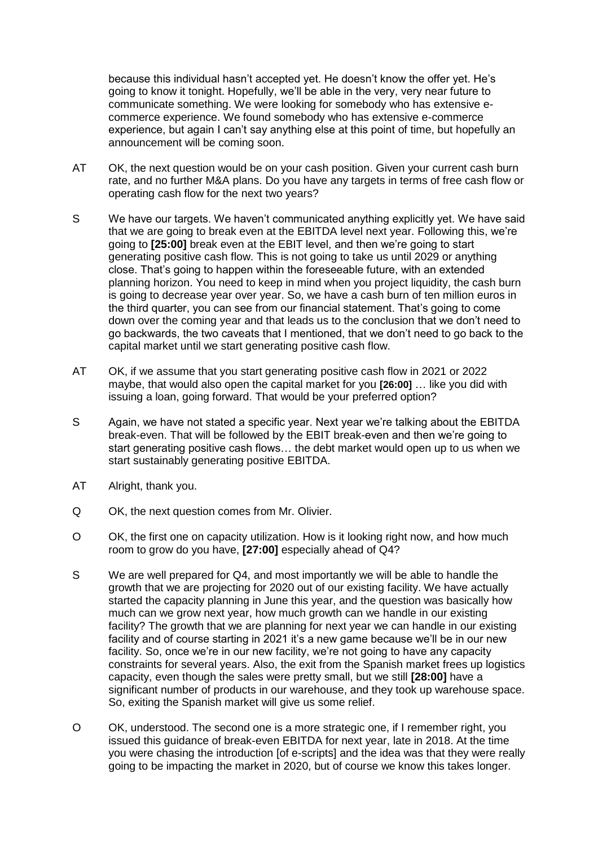because this individual hasn't accepted yet. He doesn't know the offer yet. He's going to know it tonight. Hopefully, we'll be able in the very, very near future to communicate something. We were looking for somebody who has extensive ecommerce experience. We found somebody who has extensive e-commerce experience, but again I can't say anything else at this point of time, but hopefully an announcement will be coming soon.

- AT OK, the next question would be on your cash position. Given your current cash burn rate, and no further M&A plans. Do you have any targets in terms of free cash flow or operating cash flow for the next two years?
- S We have our targets. We haven't communicated anything explicitly yet. We have said that we are going to break even at the EBITDA level next year. Following this, we're going to **[25:00]** break even at the EBIT level, and then we're going to start generating positive cash flow. This is not going to take us until 2029 or anything close. That's going to happen within the foreseeable future, with an extended planning horizon. You need to keep in mind when you project liquidity, the cash burn is going to decrease year over year. So, we have a cash burn of ten million euros in the third quarter, you can see from our financial statement. That's going to come down over the coming year and that leads us to the conclusion that we don't need to go backwards, the two caveats that I mentioned, that we don't need to go back to the capital market until we start generating positive cash flow.
- AT OK, if we assume that you start generating positive cash flow in 2021 or 2022 maybe, that would also open the capital market for you **[26:00]** … like you did with issuing a loan, going forward. That would be your preferred option?
- S Again, we have not stated a specific year. Next year we're talking about the EBITDA break-even. That will be followed by the EBIT break-even and then we're going to start generating positive cash flows… the debt market would open up to us when we start sustainably generating positive EBITDA.
- AT Alright, thank you.
- Q OK, the next question comes from Mr. Olivier.
- O OK, the first one on capacity utilization. How is it looking right now, and how much room to grow do you have, **[27:00]** especially ahead of Q4?
- S We are well prepared for Q4, and most importantly we will be able to handle the growth that we are projecting for 2020 out of our existing facility. We have actually started the capacity planning in June this year, and the question was basically how much can we grow next year, how much growth can we handle in our existing facility? The growth that we are planning for next year we can handle in our existing facility and of course starting in 2021 it's a new game because we'll be in our new facility. So, once we're in our new facility, we're not going to have any capacity constraints for several years. Also, the exit from the Spanish market frees up logistics capacity, even though the sales were pretty small, but we still **[28:00]** have a significant number of products in our warehouse, and they took up warehouse space. So, exiting the Spanish market will give us some relief.
- O OK, understood. The second one is a more strategic one, if I remember right, you issued this guidance of break-even EBITDA for next year, late in 2018. At the time you were chasing the introduction [of e-scripts] and the idea was that they were really going to be impacting the market in 2020, but of course we know this takes longer.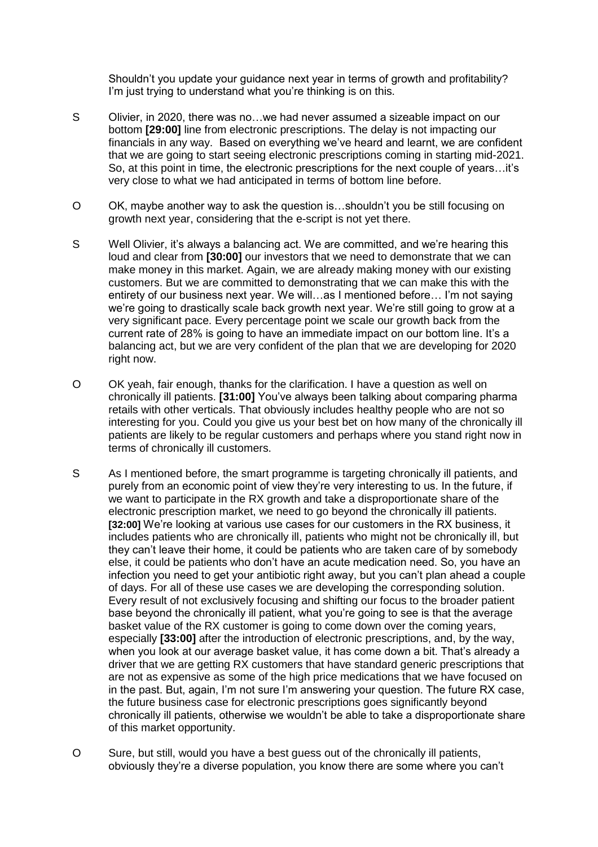Shouldn't you update your guidance next year in terms of growth and profitability? I'm just trying to understand what you're thinking is on this.

- S Olivier, in 2020, there was no…we had never assumed a sizeable impact on our bottom **[29:00]** line from electronic prescriptions. The delay is not impacting our financials in any way. Based on everything we've heard and learnt, we are confident that we are going to start seeing electronic prescriptions coming in starting mid-2021. So, at this point in time, the electronic prescriptions for the next couple of years…it's very close to what we had anticipated in terms of bottom line before.
- O OK, maybe another way to ask the question is…shouldn't you be still focusing on growth next year, considering that the e-script is not yet there.
- S Well Olivier, it's always a balancing act. We are committed, and we're hearing this loud and clear from **[30:00]** our investors that we need to demonstrate that we can make money in this market. Again, we are already making money with our existing customers. But we are committed to demonstrating that we can make this with the entirety of our business next year. We will…as I mentioned before… I'm not saying we're going to drastically scale back growth next year. We're still going to grow at a very significant pace. Every percentage point we scale our growth back from the current rate of 28% is going to have an immediate impact on our bottom line. It's a balancing act, but we are very confident of the plan that we are developing for 2020 right now.
- O OK yeah, fair enough, thanks for the clarification. I have a question as well on chronically ill patients. **[31:00]** You've always been talking about comparing pharma retails with other verticals. That obviously includes healthy people who are not so interesting for you. Could you give us your best bet on how many of the chronically ill patients are likely to be regular customers and perhaps where you stand right now in terms of chronically ill customers.
- S As I mentioned before, the smart programme is targeting chronically ill patients, and purely from an economic point of view they're very interesting to us. In the future, if we want to participate in the RX growth and take a disproportionate share of the electronic prescription market, we need to go beyond the chronically ill patients. **[32:00]** We're looking at various use cases for our customers in the RX business, it includes patients who are chronically ill, patients who might not be chronically ill, but they can't leave their home, it could be patients who are taken care of by somebody else, it could be patients who don't have an acute medication need. So, you have an infection you need to get your antibiotic right away, but you can't plan ahead a couple of days. For all of these use cases we are developing the corresponding solution. Every result of not exclusively focusing and shifting our focus to the broader patient base beyond the chronically ill patient, what you're going to see is that the average basket value of the RX customer is going to come down over the coming years, especially **[33:00]** after the introduction of electronic prescriptions, and, by the way, when you look at our average basket value, it has come down a bit. That's already a driver that we are getting RX customers that have standard generic prescriptions that are not as expensive as some of the high price medications that we have focused on in the past. But, again, I'm not sure I'm answering your question. The future RX case, the future business case for electronic prescriptions goes significantly beyond chronically ill patients, otherwise we wouldn't be able to take a disproportionate share of this market opportunity.
- O Sure, but still, would you have a best guess out of the chronically ill patients, obviously they're a diverse population, you know there are some where you can't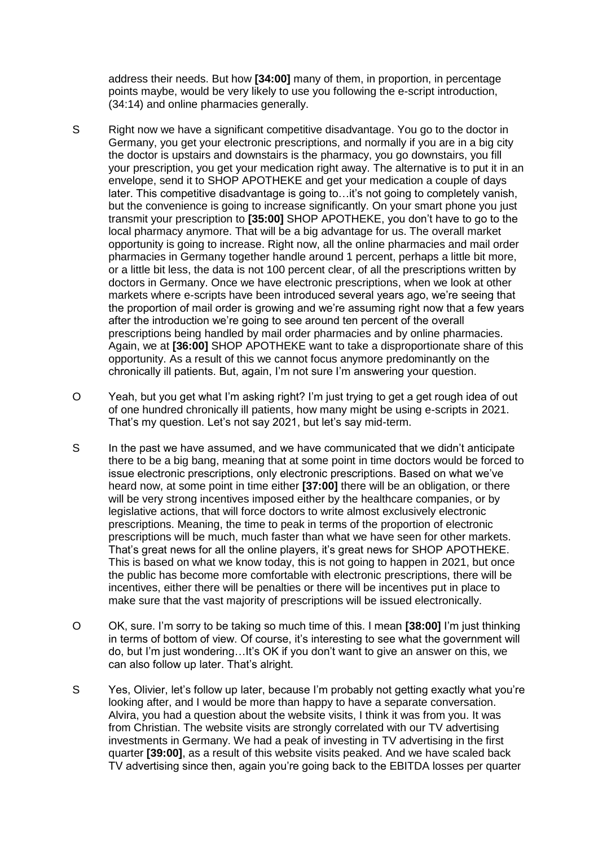address their needs. But how **[34:00]** many of them, in proportion, in percentage points maybe, would be very likely to use you following the e-script introduction, (34:14) and online pharmacies generally.

- S Right now we have a significant competitive disadvantage. You go to the doctor in Germany, you get your electronic prescriptions, and normally if you are in a big city the doctor is upstairs and downstairs is the pharmacy, you go downstairs, you fill your prescription, you get your medication right away. The alternative is to put it in an envelope, send it to SHOP APOTHEKE and get your medication a couple of days later. This competitive disadvantage is going to…it's not going to completely vanish, but the convenience is going to increase significantly. On your smart phone you just transmit your prescription to **[35:00]** SHOP APOTHEKE, you don't have to go to the local pharmacy anymore. That will be a big advantage for us. The overall market opportunity is going to increase. Right now, all the online pharmacies and mail order pharmacies in Germany together handle around 1 percent, perhaps a little bit more, or a little bit less, the data is not 100 percent clear, of all the prescriptions written by doctors in Germany. Once we have electronic prescriptions, when we look at other markets where e-scripts have been introduced several years ago, we're seeing that the proportion of mail order is growing and we're assuming right now that a few years after the introduction we're going to see around ten percent of the overall prescriptions being handled by mail order pharmacies and by online pharmacies. Again, we at **[36:00]** SHOP APOTHEKE want to take a disproportionate share of this opportunity. As a result of this we cannot focus anymore predominantly on the chronically ill patients. But, again, I'm not sure I'm answering your question.
- O Yeah, but you get what I'm asking right? I'm just trying to get a get rough idea of out of one hundred chronically ill patients, how many might be using e-scripts in 2021. That's my question. Let's not say 2021, but let's say mid-term.
- S In the past we have assumed, and we have communicated that we didn't anticipate there to be a big bang, meaning that at some point in time doctors would be forced to issue electronic prescriptions, only electronic prescriptions. Based on what we've heard now, at some point in time either **[37:00]** there will be an obligation, or there will be very strong incentives imposed either by the healthcare companies, or by legislative actions, that will force doctors to write almost exclusively electronic prescriptions. Meaning, the time to peak in terms of the proportion of electronic prescriptions will be much, much faster than what we have seen for other markets. That's great news for all the online players, it's great news for SHOP APOTHEKE. This is based on what we know today, this is not going to happen in 2021, but once the public has become more comfortable with electronic prescriptions, there will be incentives, either there will be penalties or there will be incentives put in place to make sure that the vast majority of prescriptions will be issued electronically.
- O OK, sure. I'm sorry to be taking so much time of this. I mean **[38:00]** I'm just thinking in terms of bottom of view. Of course, it's interesting to see what the government will do, but I'm just wondering…It's OK if you don't want to give an answer on this, we can also follow up later. That's alright.
- S Yes, Olivier, let's follow up later, because I'm probably not getting exactly what you're looking after, and I would be more than happy to have a separate conversation. Alvira, you had a question about the website visits, I think it was from you. It was from Christian. The website visits are strongly correlated with our TV advertising investments in Germany. We had a peak of investing in TV advertising in the first quarter **[39:00]**, as a result of this website visits peaked. And we have scaled back TV advertising since then, again you're going back to the EBITDA losses per quarter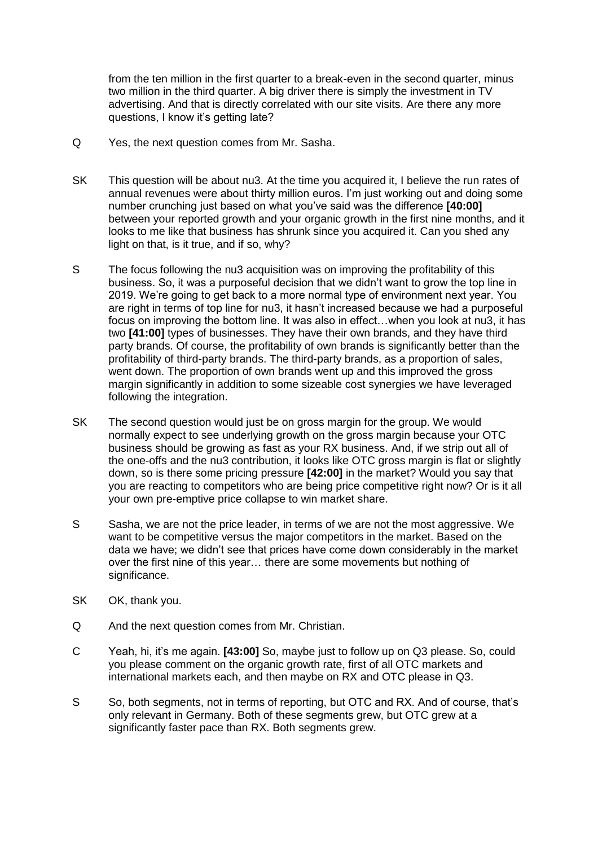from the ten million in the first quarter to a break-even in the second quarter, minus two million in the third quarter. A big driver there is simply the investment in TV advertising. And that is directly correlated with our site visits. Are there any more questions, I know it's getting late?

- Q Yes, the next question comes from Mr. Sasha.
- SK This question will be about nu3. At the time you acquired it, I believe the run rates of annual revenues were about thirty million euros. I'm just working out and doing some number crunching just based on what you've said was the difference **[40:00]**  between your reported growth and your organic growth in the first nine months, and it looks to me like that business has shrunk since you acquired it. Can you shed any light on that, is it true, and if so, why?
- S The focus following the nu3 acquisition was on improving the profitability of this business. So, it was a purposeful decision that we didn't want to grow the top line in 2019. We're going to get back to a more normal type of environment next year. You are right in terms of top line for nu3, it hasn't increased because we had a purposeful focus on improving the bottom line. It was also in effect…when you look at nu3, it has two **[41:00]** types of businesses. They have their own brands, and they have third party brands. Of course, the profitability of own brands is significantly better than the profitability of third-party brands. The third-party brands, as a proportion of sales, went down. The proportion of own brands went up and this improved the gross margin significantly in addition to some sizeable cost synergies we have leveraged following the integration.
- SK The second question would just be on gross margin for the group. We would normally expect to see underlying growth on the gross margin because your OTC business should be growing as fast as your RX business. And, if we strip out all of the one-offs and the nu3 contribution, it looks like OTC gross margin is flat or slightly down, so is there some pricing pressure **[42:00]** in the market? Would you say that you are reacting to competitors who are being price competitive right now? Or is it all your own pre-emptive price collapse to win market share.
- S Sasha, we are not the price leader, in terms of we are not the most aggressive. We want to be competitive versus the major competitors in the market. Based on the data we have; we didn't see that prices have come down considerably in the market over the first nine of this year… there are some movements but nothing of significance.
- SK OK, thank you.
- Q And the next question comes from Mr. Christian.
- C Yeah, hi, it's me again. **[43:00]** So, maybe just to follow up on Q3 please. So, could you please comment on the organic growth rate, first of all OTC markets and international markets each, and then maybe on RX and OTC please in Q3.
- S So, both segments, not in terms of reporting, but OTC and RX. And of course, that's only relevant in Germany. Both of these segments grew, but OTC grew at a significantly faster pace than RX. Both segments grew.